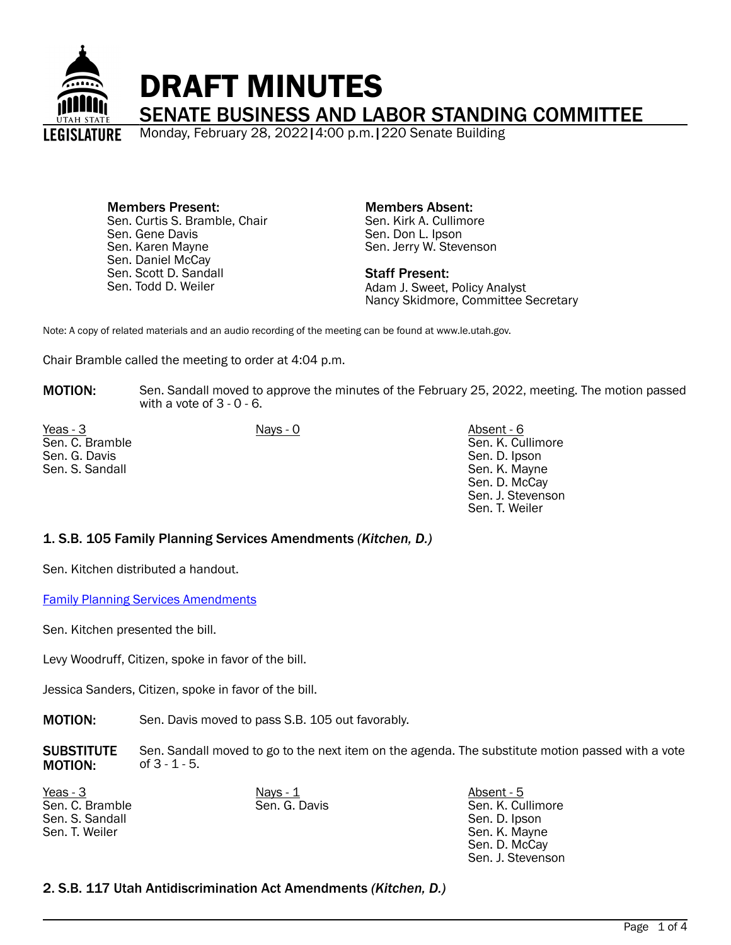

Members Present: Sen. Curtis S. Bramble, Chair Sen. Gene Davis Sen. Karen Mayne Sen. Daniel McCay Sen. Scott D. Sandall Sen. Todd D. Weiler

Members Absent: Sen. Kirk A. Cullimore Sen. Don L. Ipson Sen. Jerry W. Stevenson

Staff Present: Adam J. Sweet, Policy Analyst Nancy Skidmore, Committee Secretary

Note: A copy of related materials and an audio recording of the meeting can be found at www.le.utah.gov.

Chair Bramble called the meeting to order at 4:04 p.m.

MOTION: Sen. Sandall moved to approve the minutes of the February 25, 2022, meeting. The motion passed with a vote of  $3 - 0 - 6$ .

Yeas - 3 Nays - 0 Absent - 6 Sen. C. Bramble Sen. G. Davis Sen. S. Sandall

Sen. K. Cullimore Sen. D. Ipson Sen. K. Mayne Sen. D. McCay Sen. J. Stevenson Sen. T. Weiler

## 1. S.B. 105 Family Planning Services Amendments *(Kitchen, D.)*

Sen. Kitchen distributed a handout.

[Family Planning Services Amendments](https://le.utah.gov/interim/2022/pdf/00002007.pdf)

Sen. Kitchen presented the bill.

Levy Woodruff, Citizen, spoke in favor of the bill.

Jessica Sanders, Citizen, spoke in favor of the bill.

MOTION: Sen. Davis moved to pass S.B. 105 out favorably.

**SUBSTITUTE** MOTION: Sen. Sandall moved to go to the next item on the agenda. The substitute motion passed with a vote of 3 - 1 - 5.

<u>Yeas - 3</u> Nays - <u>1</u> Nays - <u>1</u> Nays - 1 Absent - 5 Sen. C. Bramble Sen. S. Sandall Sen. T. Weiler

Sen. G. Davis Sen. K. Cullimore Sen. D. Ipson Sen. K. Mayne Sen. D. McCay Sen. J. Stevenson

# 2. S.B. 117 Utah Antidiscrimination Act Amendments *(Kitchen, D.)*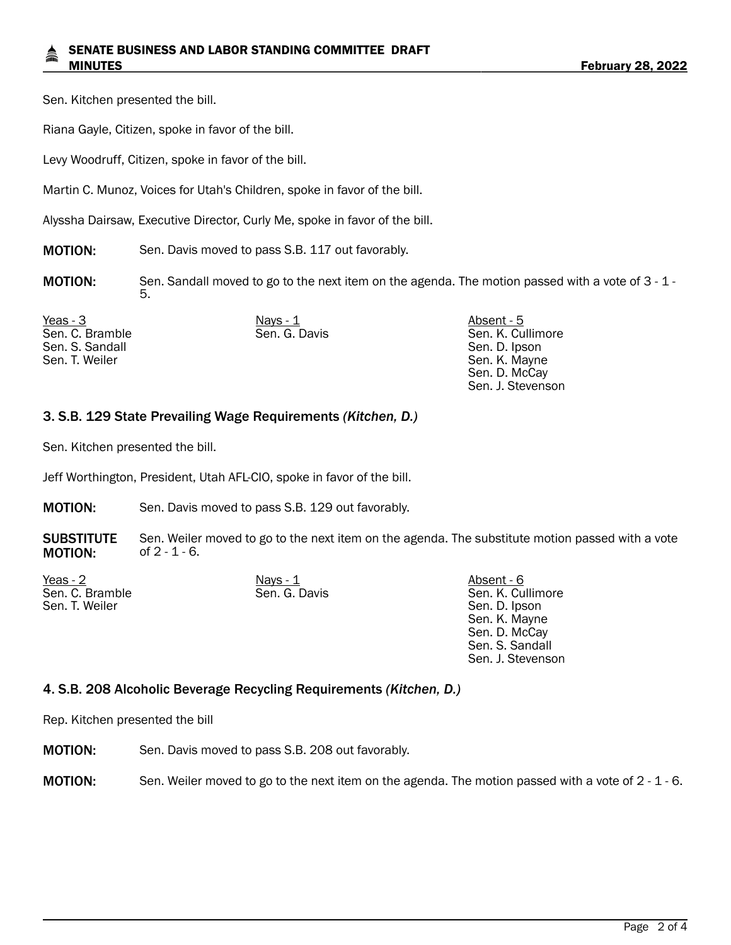Sen. Kitchen presented the bill.

Riana Gayle, Citizen, spoke in favor of the bill.

Levy Woodruff, Citizen, spoke in favor of the bill.

Martin C. Munoz, Voices for Utah's Children, spoke in favor of the bill.

Alyssha Dairsaw, Executive Director, Curly Me, spoke in favor of the bill.

MOTION: Sen. Davis moved to pass S.B. 117 out favorably.

MOTION: Sen. Sandall moved to go to the next item on the agenda. The motion passed with a vote of 3 - 1 -5.

<u>Yeas - 3</u> Nays - <u>1</u> Nays - <u>1</u> Nays - 1 Absent - 5 Sen. C. Bramble Sen. S. Sandall Sen. T. Weiler

Sen. G. Davis **Sen. K. Cullimore** Sen. K. Cullimore Sen. D. Ipson Sen. K. Mayne Sen. D. McCay Sen. J. Stevenson

## 3. S.B. 129 State Prevailing Wage Requirements *(Kitchen, D.)*

Sen. Kitchen presented the bill.

Jeff Worthington, President, Utah AFL-CIO, spoke in favor of the bill.

**MOTION:** Sen. Davis moved to pass S.B. 129 out favorably.

**SUBSTITUTE** MOTION: Sen. Weiler moved to go to the next item on the agenda. The substitute motion passed with a vote of 2 - 1 - 6.

Yeas - 2 Nays - 1 Nays - 1 Absent - 6 Sen. C. Bramble Sen. T. Weiler

Sen. G. Davis Sen. K. Cullimore Sen. D. Ipson Sen. K. Mayne Sen. D. McCay Sen. S. Sandall Sen. J. Stevenson

#### 4. S.B. 208 Alcoholic Beverage Recycling Requirements *(Kitchen, D.)*

Rep. Kitchen presented the bill

**MOTION:** Sen. Davis moved to pass S.B. 208 out favorably.

MOTION: Sen. Weiler moved to go to the next item on the agenda. The motion passed with a vote of 2 - 1 - 6.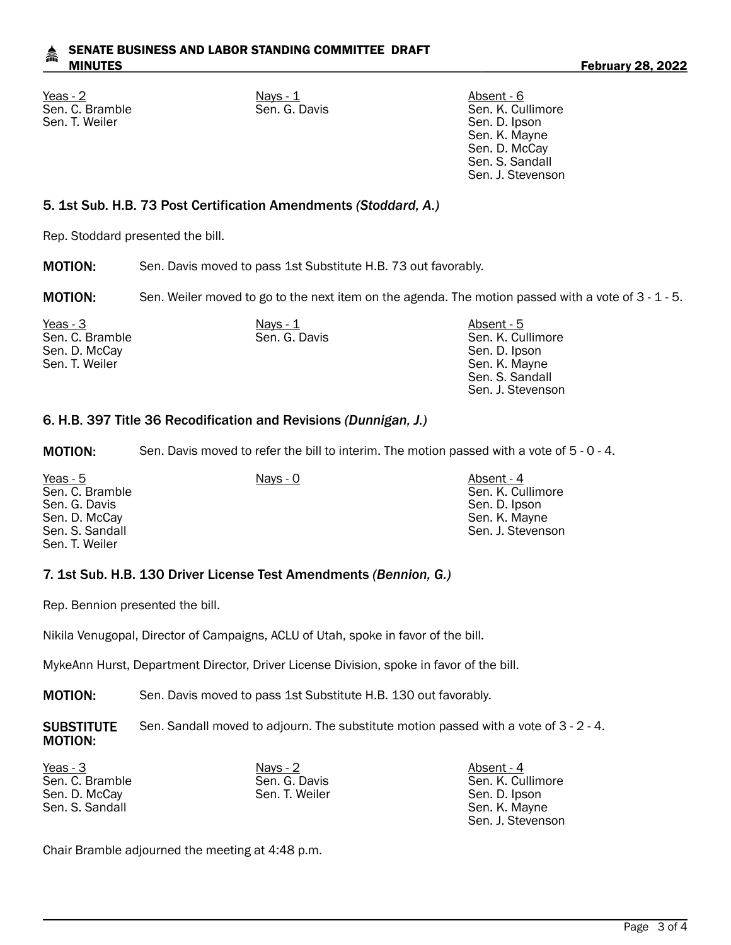## SENATE BUSINESS AND LABOR STANDING COMMITTEE DRAFT MINUTES **February 28, 2022**

<u>Yeas - 2</u> Nays - <u>1</u> Nays - <u>1</u> Nays - 1 Absent - 6 Sen. C. Bramble Sen. T. Weiler

Sen. G. Davis Sen. K. Cullimore Sen. D. Ipson Sen. K. Mayne Sen. D. McCay Sen. S. Sandall Sen. J. Stevenson

# 5. 1st Sub. H.B. 73 Post Certification Amendments *(Stoddard, A.)*

Rep. Stoddard presented the bill.

MOTION: Sen. Davis moved to pass 1st Substitute H.B. 73 out favorably.

MOTION: Sen. Weiler moved to go to the next item on the agenda. The motion passed with a vote of 3 - 1 - 5.

| Yeas - 3        | <u>Nays - 1</u> | Absent - 5        |
|-----------------|-----------------|-------------------|
| Sen. C. Bramble | Sen. G. Davis   | Sen. K. Cullimore |
| Sen. D. McCay   |                 | Sen. D. Ipson     |
| Sen. T. Weiler  |                 | Sen. K. Mayne     |
|                 |                 | Sen. S. Sandall   |
|                 |                 | Sen. J. Stevenson |

# 6. H.B. 397 Title 36 Recodification and Revisions *(Dunnigan, J.)*

MOTION: Sen. Davis moved to refer the bill to interim. The motion passed with a vote of 5 - 0 - 4.

| Yeas - $5$      | Nays - 0 | Absent - 4        |
|-----------------|----------|-------------------|
| Sen. C. Bramble |          | Sen. K. Cullimore |
| Sen. G. Davis   |          | Sen. D. Ipson     |
| Sen. D. McCay   |          | Sen. K. Mayne     |
| Sen. S. Sandall |          | Sen. J. Stevenson |
| Sen. T. Weiler  |          |                   |

# 7. 1st Sub. H.B. 130 Driver License Test Amendments *(Bennion, G.)*

Rep. Bennion presented the bill.

Nikila Venugopal, Director of Campaigns, ACLU of Utah, spoke in favor of the bill.

MykeAnn Hurst, Department Director, Driver License Division, spoke in favor of the bill.

MOTION: Sen. Davis moved to pass 1st Substitute H.B. 130 out favorably.

**SUBSTITUTE** MOTION: Sen. Sandall moved to adjourn. The substitute motion passed with a vote of 3 - 2 - 4.

<u>Yeas - 3</u> Nays - 2 Nays - 2 Absent - 4 Sen. C. Bramble Sen. D. McCay Sen. S. Sandall

Sen. G. Davis Sen. T. Weiler Sen. K. Cullimore Sen. D. Ipson Sen. K. Mayne Sen. J. Stevenson

Chair Bramble adjourned the meeting at 4:48 p.m.